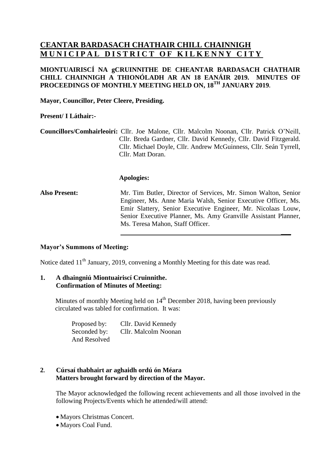# **CEANTAR BARDASACH CHATHAIR CHILL CHAINNIGH MUNICIPAL DISTRICT OF KILKENNY CITY**

# **MIONTUAIRISCÍ NA gCRUINNITHE DE CHEANTAR BARDASACH CHATHAIR CHILL CHAINNIGH A THIONÓLADH AR AN 18 EANÁIR 2019. MINUTES OF PROCEEDINGS OF MONTHLY MEETING HELD ON, 18 TH JANUARY 2019.**

**Mayor, Councillor, Peter Cleere, Presiding.**

## **Present/ I Láthair:-**

**Councillors/Comhairleoirí:** Cllr. Joe Malone, Cllr. Malcolm Noonan, Cllr. Patrick O'Neill, Cllr. Breda Gardner, Cllr. David Kennedy, Cllr. David Fitzgerald. Cllr. Michael Doyle, Cllr. Andrew McGuinness, Cllr. Seán Tyrrell, Cllr. Matt Doran.

#### **Apologies:**

**Also Present:** Mr. Tim Butler, Director of Services, Mr. Simon Walton, Senior Engineer, Ms. Anne Maria Walsh, Senior Executive Officer, Ms. Emir Slattery, Senior Executive Engineer, Mr. Nicolaas Louw, Senior Executive Planner, Ms. Amy Granville Assistant Planner, Ms. Teresa Mahon, Staff Officer.

**\_\_\_**

# **Mayor's Summons of Meeting:**

Notice dated 11<sup>th</sup> January, 2019, convening a Monthly Meeting for this date was read.

# **1. A dhaingniú Miontuairiscí Cruinnithe. Confirmation of Minutes of Meeting:**

Minutes of monthly Meeting held on 14<sup>th</sup> December 2018, having been previously circulated was tabled for confirmation. It was:

| Proposed by: | Cllr. David Kennedy  |
|--------------|----------------------|
| Seconded by: | Cllr. Malcolm Noonan |
| And Resolved |                      |

## **2. Cúrsaí thabhairt ar aghaidh ordú ón Méara Matters brought forward by direction of the Mayor.**

The Mayor acknowledged the following recent achievements and all those involved in the following Projects/Events which he attended/will attend:

- Mayors Christmas Concert.
- Mayors Coal Fund.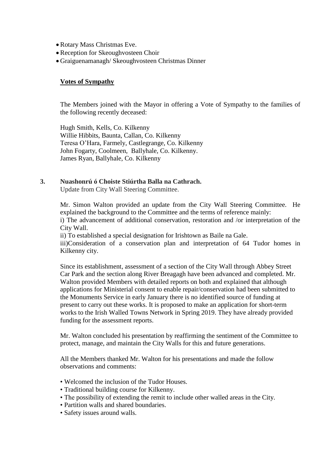- Rotary Mass Christmas Eve.
- Reception for Skeoughvosteen Choir
- Graiguenamanagh/ Skeoughvosteen Christmas Dinner

#### **Votes of Sympathy**

The Members joined with the Mayor in offering a Vote of Sympathy to the families of the following recently deceased:

Hugh Smith, Kells, Co. Kilkenny Willie Hibbits, Baunta, Callan, Co. Kilkenny Teresa O'Hara, Farmely, Castlegrange, Co. Kilkenny John Fogarty, Coolmeen, Ballyhale, Co. Kilkenny. James Ryan, Ballyhale, Co. Kilkenny

#### **3. Nuashonrú ó Choiste Stiúrtha Balla na Cathrach.**

Update from City Wall Steering Committee.

Mr. Simon Walton provided an update from the City Wall Steering Committee. He explained the background to the Committee and the terms of reference mainly: i) The advancement of additional conservation, restoration and /or interpretation of the City Wall.

ii) To established a special designation for Irishtown as Baile na Gale.

iii)Consideration of a conservation plan and interpretation of 64 Tudor homes in Kilkenny city.

 Since its establishment, assessment of a section of the City Wall through Abbey Street Car Park and the section along River Breagagh have been advanced and completed. Mr. Walton provided Members with detailed reports on both and explained that although applications for Ministerial consent to enable repair/conservation had been submitted to the Monuments Service in early January there is no identified source of funding at present to carry out these works. It is proposed to make an application for short-term works to the Irish Walled Towns Network in Spring 2019. They have already provided funding for the assessment reports.

 Mr. Walton concluded his presentation by reaffirming the sentiment of the Committee to protect, manage, and maintain the City Walls for this and future generations.

All the Members thanked Mr. Walton for his presentations and made the follow observations and comments:

- Welcomed the inclusion of the Tudor Houses.
- Traditional building course for Kilkenny.
- The possibility of extending the remit to include other walled areas in the City.
- Partition walls and shared boundaries.
- Safety issues around walls.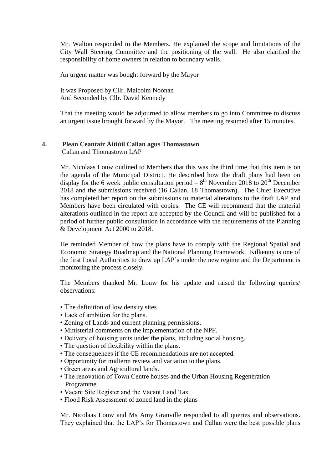Mr. Walton responded to the Members. He explained the scope and limitations of the City Wall Steering Committee and the positioning of the wall. He also clarified the responsibility of home owners in relation to boundary walls.

An urgent matter was bought forward by the Mayor

It was Proposed by Cllr. Malcolm Noonan And Seconded by Cllr. David Kennedy

That the meeting would be adjourned to allow members to go into Committee to discuss an urgent issue brought forward by the Mayor. The meeting resumed after 15 minutes.

# **4. Plean Ceantair Áitiúil Callan agus Thomastown**

Callan and Thomastown LAP

Mr. Nicolaas Louw outlined to Members that this was the third time that this item is on the agenda of the Municipal District. He described how the draft plans had been on display for the 6 week public consultation period  $-8<sup>th</sup>$  November 2018 to 20<sup>th</sup> December 2018 and the submissions received (16 Callan, 18 Thomastown). The Chief Executive has completed her report on the submissions to material alterations to the draft LAP and Members have been circulated with copies. The CE will recommend that the material alterations outlined in the report are accepted by the Council and will be published for a period of further public consultation in accordance with the requirements of the Planning & Development Act 2000 to 2018.

He reminded Member of how the plans have to comply with the Regional Spatial and Economic Strategy Roadmap and the National Planning Framework. Kilkenny is one of the first Local Authorities to draw up LAP's under the new regime and the Department is monitoring the process closely.

The Members thanked Mr. Louw for his update and raised the following queries/ observations:

- The definition of low density sites
- Lack of ambition for the plans.
- Zoning of Lands and current planning permissions.
- Ministerial comments on the implementation of the NPF.
- Delivery of housing units under the plans, including social housing.
- The question of flexibility within the plans.
- The consequences if the CE recommendations are not accepted.
- Opportunity for midterm review and variation to the plans.
- Green areas and Agricultural lands.
- The renovation of Town Centre houses and the Urban Housing Regeneration Programme.
- Vacant Site Register and the Vacant Land Tax
- Flood Risk Assessment of zoned land in the plans

Mr. Nicolaas Louw and Ms Amy Granville responded to all queries and observations. They explained that the LAP's for Thomastown and Callan were the best possible plans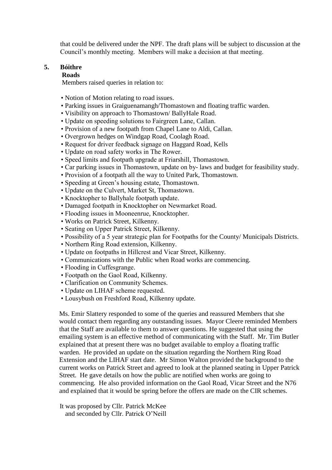that could be delivered under the NPF. The draft plans will be subject to discussion at the Council's monthly meeting. Members will make a decision at that meeting.

#### **5. Bóithre**

#### **Roads**

Members raised queries in relation to:

- Notion of Motion relating to road issues.
- Parking issues in Graiguenamangh/Thomastown and floating traffic warden.
- Visibility on approach to Thomastown/ BallyHale Road.
- Update on speeding solutions to Fairgreen Lane, Callan.
- Provision of a new footpath from Chapel Lane to Aldi, Callan.
- Overgrown hedges on Windgap Road, Coolagh Road.
- Request for driver feedback signage on Haggard Road, Kells
- Update on road safety works in The Rower.
- Speed limits and footpath upgrade at Friarshill, Thomastown.
- Car parking issues in Thomastown, update on by- laws and budget for feasibility study.
- Provision of a footpath all the way to United Park, Thomastown.
- Speeding at Green's housing estate, Thomastown.
- Update on the Culvert, Market St, Thomastown.
- Knocktopher to Ballyhale footpath update.
- Damaged footpath in Knocktopher on Newmarket Road.
- Flooding issues in Mooneenrue, Knocktopher.
- Works on Patrick Street, Kilkenny.
- Seating on Upper Patrick Street, Kilkenny.
- Possibility of a 5 year strategic plan for Footpaths for the County/ Municipals Districts.
- Northern Ring Road extension, Kilkenny.
- Update on footpaths in Hillcrest and Vicar Street, Kilkenny.
- Communications with the Public when Road works are commencing.
- Flooding in Cuffesgrange.
- Footpath on the Gaol Road, Kilkenny.
- Clarification on Community Schemes.
- Update on LIHAF scheme requested.
- Lousybush on Freshford Road, Kilkenny update.

 Ms. Emir Slattery responded to some of the queries and reassured Members that she would contact them regarding any outstanding issues. Mayor Cleere reminded Members that the Staff are available to them to answer questions. He suggested that using the emailing system is an effective method of communicating with the Staff. Mr. Tim Butler explained that at present there was no budget available to employ a floating traffic warden. He provided an update on the situation regarding the Northern Ring Road Extension and the LIHAF start date. Mr Simon Walton provided the background to the current works on Patrick Street and agreed to look at the planned seating in Upper Patrick Street. He gave details on how the public are notified when works are going to commencing. He also provided information on the Gaol Road, Vicar Street and the N76 and explained that it would be spring before the offers are made on the CIR schemes.

 It was proposed by Cllr. Patrick McKee and seconded by Cllr. Patrick O'Neill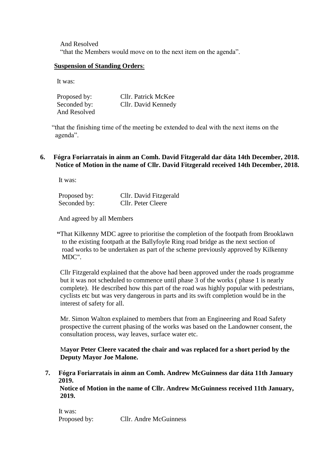And Resolved "that the Members would move on to the next item on the agenda".

## **Suspension of Standing Orders**:

It was:

| Proposed by: | Cllr. Patrick McKee |
|--------------|---------------------|
| Seconded by: | Cllr. David Kennedy |
| And Resolved |                     |

 "that the finishing time of the meeting be extended to deal with the next items on the agenda".

# **6. Fógra Foriarratais in ainm an Comh. David Fitzgerald dar dáta 14th December, 2018. Notice of Motion in the name of Cllr. David Fitzgerald received 14th December, 2018.**

It was:

| Proposed by: | Cllr. David Fitzgerald |
|--------------|------------------------|
| Seconded by: | Cllr. Peter Cleere     |

And agreed by all Members

 **"**That Kilkenny MDC agree to prioritise the completion of the footpath from Brooklawn to the existing footpath at the Ballyfoyle Ring road bridge as the next section of road works to be undertaken as part of the scheme previously approved by Kilkenny MDC".

 Cllr Fitzgerald explained that the above had been approved under the roads programme but it was not scheduled to commence until phase 3 of the works ( phase 1 is nearly complete). He described how this part of the road was highly popular with pedestrians, cyclists etc but was very dangerous in parts and its swift completion would be in the interest of safety for all.

 Mr. Simon Walton explained to members that from an Engineering and Road Safety prospective the current phasing of the works was based on the Landowner consent, the consultation process, way leaves, surface water etc.

 M**ayor Peter Cleere vacated the chair and was replaced for a short period by the Deputy Mayor Joe Malone.**

 **7. Fógra Foriarratais in ainm an Comh. Andrew McGuinness dar dáta 11th January 2019.**

 **Notice of Motion in the name of Cllr. Andrew McGuinness received 11th January, 2019.**

It was: Proposed by: Cllr. Andre McGuinness